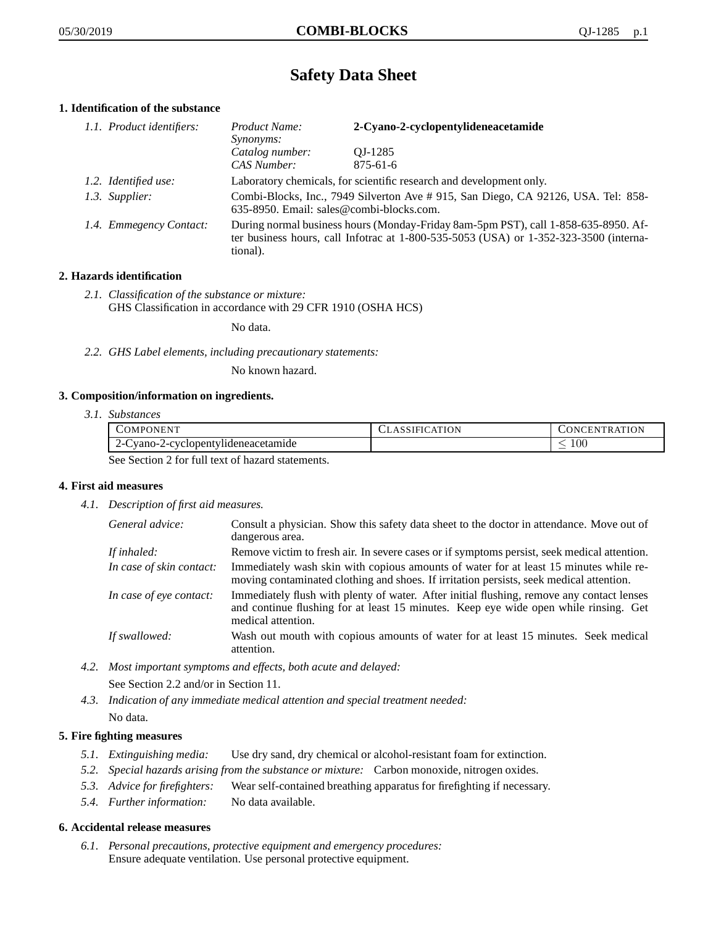# **Safety Data Sheet**

# **1. Identification of the substance**

| 1.1. Product identifiers: | Product Name:<br><i>Synonyms:</i>                                                                                                                                                           | 2-Cyano-2-cyclopentylideneacetamide |
|---------------------------|---------------------------------------------------------------------------------------------------------------------------------------------------------------------------------------------|-------------------------------------|
|                           | Catalog number:<br>CAS Number:                                                                                                                                                              | OJ-1285<br>$875 - 61 - 6$           |
| 1.2. Identified use:      | Laboratory chemicals, for scientific research and development only.                                                                                                                         |                                     |
| 1.3. Supplier:            | Combi-Blocks, Inc., 7949 Silverton Ave # 915, San Diego, CA 92126, USA. Tel: 858-<br>635-8950. Email: sales@combi-blocks.com.                                                               |                                     |
| 1.4. Emmegency Contact:   | During normal business hours (Monday-Friday 8am-5pm PST), call 1-858-635-8950. Af-<br>ter business hours, call Infotrac at $1-800-535-5053$ (USA) or $1-352-323-3500$ (interna-<br>tional). |                                     |

# **2. Hazards identification**

*2.1. Classification of the substance or mixture:* GHS Classification in accordance with 29 CFR 1910 (OSHA HCS)

No data.

*2.2. GHS Label elements, including precautionary statements:*

No known hazard.

# **3. Composition/information on ingredients.**

*3.1. Substances*

| COMPONENT                                      | CLASSIFICATION | CONCENTRATION |
|------------------------------------------------|----------------|---------------|
| 2-Cyano-2-cyclopentylideneacetamide            |                | .00           |
| See Section 2 for full toxi of here determined |                |               |

See Section 2 for full text of hazard statements.

# **4. First aid measures**

*4.1. Description of first aid measures.*

| General advice:          | Consult a physician. Show this safety data sheet to the doctor in attendance. Move out of<br>dangerous area.                                                                                            |
|--------------------------|---------------------------------------------------------------------------------------------------------------------------------------------------------------------------------------------------------|
| If inhaled:              | Remove victim to fresh air. In severe cases or if symptoms persist, seek medical attention.                                                                                                             |
| In case of skin contact: | Immediately wash skin with copious amounts of water for at least 15 minutes while re-<br>moving contaminated clothing and shoes. If irritation persists, seek medical attention.                        |
| In case of eye contact:  | Immediately flush with plenty of water. After initial flushing, remove any contact lenses<br>and continue flushing for at least 15 minutes. Keep eye wide open while rinsing. Get<br>medical attention. |
| If swallowed:            | Wash out mouth with copious amounts of water for at least 15 minutes. Seek medical<br>attention.                                                                                                        |

*4.2. Most important symptoms and effects, both acute and delayed:*

See Section 2.2 and/or in Section 11.

*4.3. Indication of any immediate medical attention and special treatment needed:* No data.

# **5. Fire fighting measures**

- *5.1. Extinguishing media:* Use dry sand, dry chemical or alcohol-resistant foam for extinction.
- *5.2. Special hazards arising from the substance or mixture:* Carbon monoxide, nitrogen oxides.
- *5.3. Advice for firefighters:* Wear self-contained breathing apparatus for firefighting if necessary.
- *5.4. Further information:* No data available.

# **6. Accidental release measures**

*6.1. Personal precautions, protective equipment and emergency procedures:* Ensure adequate ventilation. Use personal protective equipment.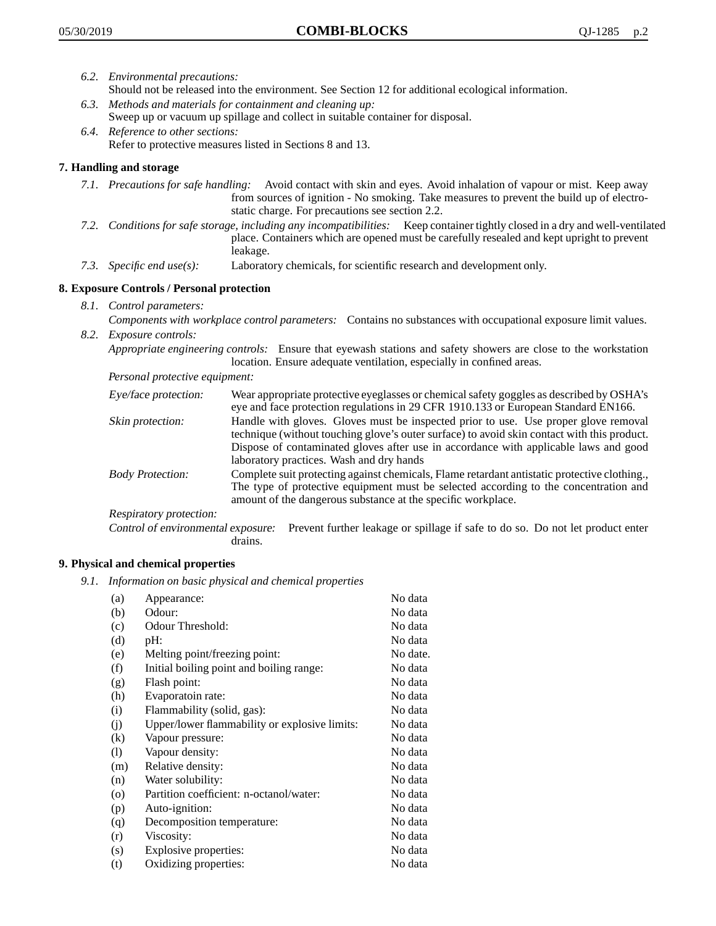- *6.2. Environmental precautions:* Should not be released into the environment. See Section 12 for additional ecological information.
- *6.3. Methods and materials for containment and cleaning up:* Sweep up or vacuum up spillage and collect in suitable container for disposal.
- *6.4. Reference to other sections:* Refer to protective measures listed in Sections 8 and 13.

# **7. Handling and storage**

- *7.1. Precautions for safe handling:* Avoid contact with skin and eyes. Avoid inhalation of vapour or mist. Keep away from sources of ignition - No smoking. Take measures to prevent the build up of electrostatic charge. For precautions see section 2.2.
- *7.2. Conditions for safe storage, including any incompatibilities:* Keep container tightly closed in a dry and well-ventilated place. Containers which are opened must be carefully resealed and kept upright to prevent leakage.
- *7.3. Specific end use(s):* Laboratory chemicals, for scientific research and development only.

# **8. Exposure Controls / Personal protection**

- *8.1. Control parameters:*
- *Components with workplace control parameters:* Contains no substances with occupational exposure limit values. *8.2. Exposure controls:*

*Appropriate engineering controls:* Ensure that eyewash stations and safety showers are close to the workstation location. Ensure adequate ventilation, especially in confined areas.

*Personal protective equipment:*

| Eye/face protection:    | Wear appropriate protective eyeglasses or chemical safety goggles as described by OSHA's<br>eye and face protection regulations in 29 CFR 1910.133 or European Standard EN166.                                                                                                                                         |
|-------------------------|------------------------------------------------------------------------------------------------------------------------------------------------------------------------------------------------------------------------------------------------------------------------------------------------------------------------|
| Skin protection:        | Handle with gloves. Gloves must be inspected prior to use. Use proper glove removal<br>technique (without touching glove's outer surface) to avoid skin contact with this product.<br>Dispose of contaminated gloves after use in accordance with applicable laws and good<br>laboratory practices. Wash and dry hands |
| <b>Body Protection:</b> | Complete suit protecting against chemicals, Flame retardant antistatic protective clothing.,<br>The type of protective equipment must be selected according to the concentration and<br>amount of the dangerous substance at the specific workplace.                                                                   |
| Respiratory protection: |                                                                                                                                                                                                                                                                                                                        |

Control of environmental exposure: Prevent further leakage or spillage if safe to do so. Do not let product enter drains.

# **9. Physical and chemical properties**

*9.1. Information on basic physical and chemical properties*

| (a)               | Appearance:                                   | No data  |
|-------------------|-----------------------------------------------|----------|
| (b)               | Odour:                                        | No data  |
| (c)               | Odour Threshold:                              | No data  |
| (d)               | pH:                                           | No data  |
| (e)               | Melting point/freezing point:                 | No date. |
| (f)               | Initial boiling point and boiling range:      | No data  |
| (g)               | Flash point:                                  | No data  |
| (h)               | Evaporatoin rate:                             | No data  |
| (i)               | Flammability (solid, gas):                    | No data  |
| (j)               | Upper/lower flammability or explosive limits: | No data  |
| $\left( k\right)$ | Vapour pressure:                              | No data  |
| (1)               | Vapour density:                               | No data  |
| (m)               | Relative density:                             | No data  |
| (n)               | Water solubility:                             | No data  |
| $\circ$           | Partition coefficient: n-octanol/water:       | No data  |
| (p)               | Auto-ignition:                                | No data  |
| (q)               | Decomposition temperature:                    | No data  |
| (r)               | Viscosity:                                    | No data  |
| (s)               | Explosive properties:                         | No data  |
| (t)               | Oxidizing properties:                         | No data  |